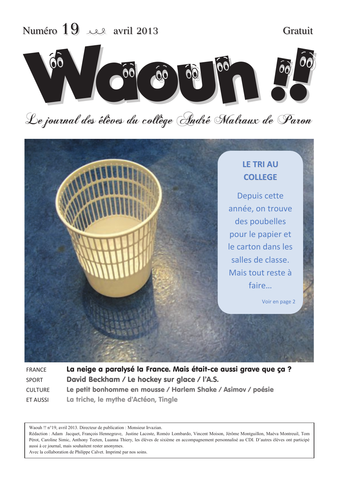

# Le journal des élèves du collège André Malraux de Paron



| <b>FRANCE</b>  | La neige a paralysé la France. Mais était-ce aussi grave que ça ? |  |  |  |
|----------------|-------------------------------------------------------------------|--|--|--|
| <b>SPORT</b>   | David Beckham / Le hockey sur glace / l'A.S.                      |  |  |  |
| <b>CULTURE</b> | Le petit bonhomme en mousse / Harlem Shake / Asimov / poésie      |  |  |  |
| ET AUSSI       | La triche, le mythe d'Actéon, Tingle                              |  |  |  |

Waouh !! n°19, avril 2013. Directeur de publication : Monsieur Irvazian.

Rédaction : Adam Jacquet, François Hennegrave, Justine Lacoste, Roméo Lombardo, Vincent Moison, Jérôme Montguillon, Maéva Montreuil, Tom Pérot, Caroline Simic, Anthony Teeten, Luanna Thiery, les élèves de sixième en accompagnement personnalisé au CDI. D'autres élèves ont participé aussi à ce journal, mais souhaitent rester anonymes.

Avec la collaboration de Philippe Calvet. Imprimé par nos soins.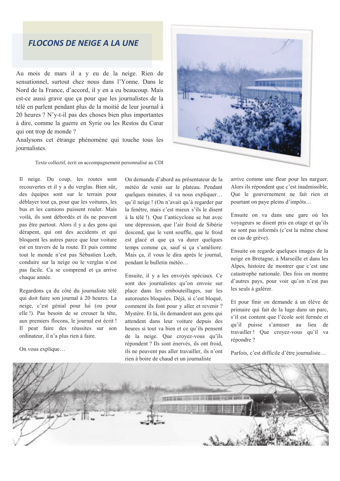## **FLOCONS DE NEIGE A LA UNE**

Au mois de mars il a v eu de la neige. Rien de sensationnel, surtout chez nous dans l'Yonne. Dans le Nord de la France, d'accord, il y en a eu beaucoup. Mais est-ce aussi grave que ça pour que les journalistes de la télé en parlent pendant plus de la moitié de leur journal à 20 heures ? N'y-t-il pas des choses bien plus importantes à dire, comme la guerre en Syrie ou les Restos du Cœur qui ont trop de monde?

Analysons cet étrange phénomène qui touche tous les iournalistes.

Texte collectif, écrit en accompagnement personnalisé au CDI

Il neige. Du coup, les routes sont recouvertes et il y a du verglas. Bien sûr, des équipes sont sur le terrain pour déblayer tout ça, pour que les voitures, les bus et les camions puissent rouler. Mais voilà, ils sont débordés et ils ne peuvent pas être partout. Alors il y a des gens qui dérapent, qui ont des accidents et qui bloquent les autres parce que leur voiture est en travers de la route. Et puis comme tout le monde n'est pas Sébastien Loeb, conduire sur la neige ou le verglas n'est pas facile. Ca se comprend et ça arrive chaque année.

Regardons ça du côté du journaliste télé qui doit faire son journal à 20 heures. La neige, c'est génial pour lui (ou pour elle !). Pas besoin de se creuser la tête, aux premiers flocons, le journal est écrit ! Il peut faire des réussites sur son ordinateur, il n'a plus rien à faire.

On vous explique...

On demande d'abord au présentateur de la météo de venir sur le plateau. Pendant quelques minutes, il va nous expliquer... qu'il neige ! (On n'avait qu'à regarder par la fenêtre, mais c'est mieux s'ils le disent à la télé !). Que l'anticyclone se bat avec une dépression, que l'air froid de Sibérie descend, que le vent souffle, que le froid est glacé et que ça va durer quelques temps comme ça, sauf si ça s'améliore. Mais ça, il vous le dira après le journal, pendant le bulletin météo...

Ensuite, il y a les envoyés spéciaux. Ce sont des journalistes qu'on envoie sur place dans les embouteillages, sur les autoroutes bloquées. Déjà, si c'est bloqué, comment ils font pour y aller et revenir ? Mystère. Et là, ils demandent aux gens qui attendent dans leur voiture depuis des heures si tout va bien et ce qu'ils pensent de la neige. Que croyez-vous qu'ils répondent ? Ils sont énervés, ils ont froid, ils ne peuvent pas aller travailler, ils n'ont rien à boire de chaud et un journaliste

arrive comme une fleur pour les narguer. Alors ils répondent que c'est inadmissible, Que le gouvernement ne fait rien et pourtant on paye pleins d'impôts...

Ensuite on va dans une gare où les voyageurs se disent pris en otage et qu'ils ne sont pas informés (c'est la même chose en cas de grève).

Ensuite on regarde quelques images de la neige en Bretagne, à Marseille et dans les Alpes, histoire de montrer que c'est une catastrophe nationale. Des fois on montre d'autres pays, pour voir qu'on n'est pas les seuls à galérer.

Et pour finir on demande à un élève de primaire qui fait de la luge dans un parc, s'il est content que l'école soit fermée et qu'il puisse s'amuser au lieu de travailler! Que croyez-vous qu'il va répondre ?

Parfois, c'est difficile d'être journaliste...



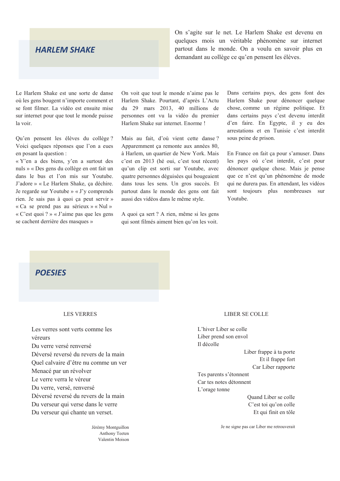#### **HARLEM SHAKE**

On s'agite sur le net. Le Harlem Shake est devenu en quelques mois un véritable phénomène sur internet partout dans le monde. On a voulu en savoir plus en demandant au collège ce qu'en pensent les élèves.

Le Harlem Shake est une sorte de danse où les gens bougent n'importe comment et se font filmer. La vidéo est ensuite mise sur internet pour que tout le monde puisse la voir

Qu'en pensent les élèves du collège ? Voici quelques réponses que l'on a eues en posant la question :

« Y'en a des biens, y'en a surtout des nuls » « Des gens du collège en ont fait un dans le bus et l'on mis sur Youtube. J'adore » « Le Harlem Shake, ça déchire. Je regarde sur Youtube » « J'v comprends rien. Je sais pas à quoi ça peut servir » « Ca se prend pas au sérieux » « Nul » « C'est quoi ? » « J'aime pas que les gens se cachent derrière des masques »

On voit que tout le monde n'aime pas le Harlem Shake. Pourtant, d'après L'Actu du 29 mars 2013, 40 millions de personnes ont vu la vidéo du premier Harlem Shake sur internet Enorme!

Mais au fait, d'où vient cette danse? Apparemment ça remonte aux années 80, à Harlem, un quartier de New York. Mais c'est en 2013 (hé oui, c'est tout récent) qu'un clip est sorti sur Youtube, avec quatre personnes déguisées qui bougeaient dans tous les sens. Un gros succès. Et partout dans le monde des gens ont fait aussi des vidéos dans le même style.

A quoi ça sert? A rien, même si les gens qui sont filmés aiment bien qu'on les voit.

Dans certains pays, des gens font des Harlem Shake pour dénoncer quelque chose, comme un régime politique. Et dans certains pays c'est devenu interdit d'en faire. En Egypte, il y eu des arrestations et en Tunisie c'est interdit sous peine de prison.

En France on fait ça pour s'amuser. Dans les pays où c'est interdit, c'est pour dénoncer quelque chose. Mais je pense que ce n'est qu'un phénomène de mode qui ne durera pas. En attendant, les vidéos sont toujours plus nombreuses sur Youtube.

### **POESIES**

#### **LES VERRES**

Les verres sont verts comme les véreurs Du verre versé renversé Déversé reversé du revers de la main Quel calvaire d'être nu comme un ver Menacé par un révolver Le verre verra le véreur Du verre, versé, renversé Déversé reversé du revers de la main Du verseur qui verse dans le verre Du verseur qui chante un verset.

> Jérémy Montguillon Anthony Teeten Valentin Moison

#### **LIBER SE COLLE**

L'hiver Liber se colle Liber prend son envol Il décolle

> Liber frappe à ta porte Et il frappe fort Car Liber rapporte

Tes parents s'étonnent Car tes notes détonnent L'orage tonne

> Quand Liber se colle C'est toi qu'on colle Et qui finit en tôle

Je ne signe pas car Liber me retrouverait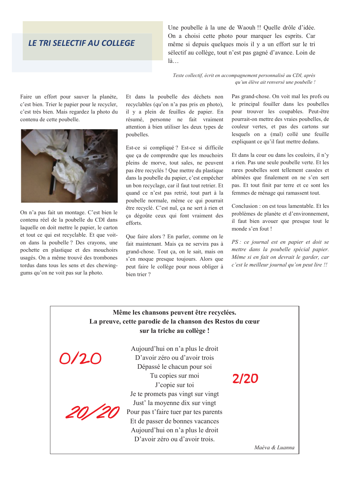# **LE TRI SELECTIF AU COLLEGE**

Une poubelle à la une de Waouh !! Quelle drôle d'idée. On a choisi cette photo pour marquer les esprits. Car même si depuis quelques mois il y a un effort sur le tri sélectif au collège, tout n'est pas gagné d'avance. Loin de  $l\lambda$ 

Texte collectif, écrit en accompagnement personnalisé au CDI, après qu'un élève ait renversé une poubelle !

Faire un effort pour sauver la planète, c'est bien. Trier le papier pour le recycler, c'est très bien. Mais regardez la photo du contenu de cette poubelle.



On n'a pas fait un montage. C'est bien le contenu réel de la poubelle du CDI dans laquelle on doit mettre le papier, le carton et tout ce qui est recyclable. Et que voiton dans la poubelle ? Des crayons, une pochette en plastique et des mouchoirs usagés. On a même trouvé des trombones tordus dans tous les sens et des chewinggums qu'on ne voit pas sur la photo.

Et dans la poubelle des déchets non recyclables (qu'on n'a pas pris en photo). il y a plein de feuilles de papier. En résumé, personne ne fait vraiment attention à bien utiliser les deux types de poubelles.

Est-ce si compliqué? Est-ce si difficile que ca de comprendre que les mouchoirs pleins de morve, tout sales, ne peuvent pas être recyclés ! Que mettre du plastique dans la poubelle du papier, c'est empêcher un bon recyclage, car il faut tout retrier. Et quand ce n'est pas retrié, tout part à la poubelle normale, même ce qui pourrait être recyclé. C'est nul, ça ne sert à rien et ça dégoûte ceux qui font vraiment des efforts

Que faire alors ? En parler, comme on le fait maintenant. Mais ça ne servira pas à grand-chose. Tout ça, on le sait, mais on s'en moque presque toujours. Alors que peut faire le collège pour nous obliger à bien trier?

Pas grand-chose. On voit mal les profs ou le principal fouiller dans les poubelles pour trouver les coupables. Peut-être pourrait-on mettre des vraies poubelles, de couleur vertes, et pas des cartons sur lesquels on a (mal) collé une feuille expliquant ce qu'il faut mettre dedans.

Et dans la cour ou dans les couloirs, il n'y a rien. Pas une seule poubelle verte. Et les rares poubelles sont tellement cassées et abîmées que finalement on ne s'en sert pas. Et tout finit par terre et ce sont les femmes de ménage qui ramassent tout.

Conclusion : on est tous lamentable. Et les problèmes de planète et d'environnement. il faut bien avouer que presque tout le monde s'en fout!

PS : ce journal est en papier et doit se mettre dans la poubelle spécial papier. Même si en fait on devrait le garder, car c'est le meilleur journal qu'on peut lire !!

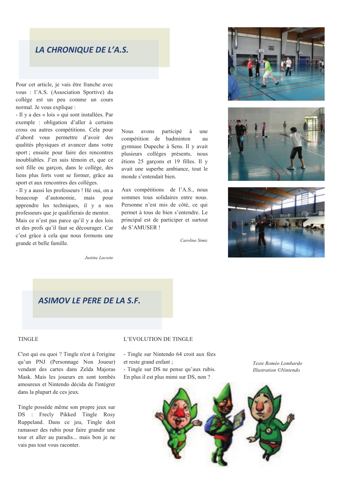## LA CHRONIQUE DE L'A.S.

Pour cet article, je vais être franche avec vous : l'A.S. (Association Sportive) du collège est un peu comme un cours normal. Je vous explique :

- Il y a des « lois » qui sont installées. Par exemple : obligation d'aller à certains cross ou autres compétitions. Cela pour d'abord vous permettre d'avoir des qualités physiques et avancer dans votre sport; ensuite pour faire des rencontres inoubliables. J'en suis témoin et, que ce soit fille ou garçon, dans le collège, des liens plus forts vont se former, grâce au sport et aux rencontres des collèges.

- Il y a aussi les professeurs ! Hé oui, on a beaucoup d'autonomie, mais pour apprendre les techniques, il y a nos professeurs que je qualifierais de mentor. Mais ce n'est pas parce qu'il y a des lois et des profs qu'il faut se décourager. Car c'est grâce à cela que nous formons une grande et belle famille.

**Nous** avons participé une compétition de badminton  $\overline{a}$ gymnase Dupeche à Sens. Il y avait plusieurs collèges présents, nous étions 25 garçons et 19 filles. Il y avait une superbe ambiance, tout le monde s'entendait bien.

Aux compétitions de l'A.S., nous sommes tous solidaires entre nous. Personne n'est mis de côté, ce qui permet à tous de bien s'entendre. Le principal est de participer et surtout de S'AMUSER!

Caroline Simic







Justine Lacoste

# **ASIMOV LE PERE DE LA S.F.**

#### **TINGLE**

C'est qui ou quoi ? Tingle n'est à l'origine qu'un PNJ (Personnage Non Joueur) vendant des cartes dans Zelda Majoras Mask. Mais les joueurs en sont tombés amoureux et Nintendo décida de l'intégrer dans la plupart de ces jeux.

Tingle possède même son propre jeux sur DS : Freely Pikked Tingle Rosy Ruppeland. Dans ce jeu, Tingle doit ramasser des rubis pour faire grandir une tour et aller au paradis... mais bon je ne vais pas tout vous raconter.

#### L'EVOLUTION DE TINGLE

- Tingle sur Nintendo 64 croit aux fées et reste grand enfant ;

- Tingle sur DS ne pense qu'aux rubis. En plus il est plus mimi sur DS, non ?

Texte Roméo Lombardo **Illustration ©Nintendo** 

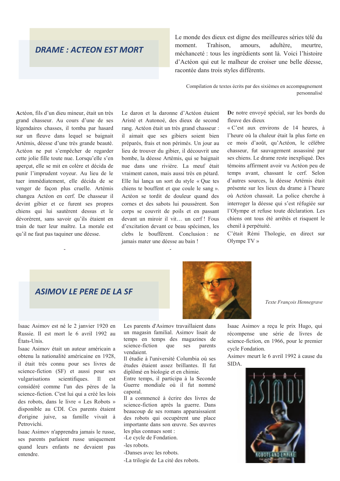### **DRAME: ACTEON EST MORT**

Le monde des dieux est digne des meilleures séries télé du moment. Trahison, amours, adultère, meurtre, méchanceté : tous les ingrédients sont là. Voici l'histoire d'Actéon qui eut le malheur de croiser une belle déesse. racontée dans trois styles différents.

Compilation de textes écrits par des sixièmes en accompagnement personnalisé

Actéon, fils d'un dieu mineur, était un très grand chasseur. Au cours d'une de ses légendaires chasses, il tomba par hasard sur un fleuve dans lequel se baignait Artémis, déesse d'une très grande beauté. Actéon ne put s'empêcher de regarder cette jolie fille toute nue. Lorsqu'elle s'en apercut, elle se mit en colère et décida de punir l'imprudent voveur. Au lieu de le tuer immédiatement, elle décida de se venger de façon plus cruelle. Artémis changea Actéon en cerf. De chasseur il devint gibier et ce furent ses propres chiens qui lui sautèrent dessus et le dévorèrent, sans savoir qu'ils étaient en train de tuer leur maître. La morale est qu'il ne faut pas taquiner une déesse.

Le daron et la daronne d'Actéon étaient Aristé et Autonoé, des dieux de second rang. Actéon était un très grand chasseur : il aimait que ses gibiers soient bien préparés, frais et non périmés. Un jour au lieu de trouver du gibier, il découvrit une bombe, la déesse Artémis, qui se baignait nue dans une rivière. La meuf était vraiment canon, mais aussi très en pétard. Elle lui lança un sort du style « Que tes chiens te bouffent et que coule le sang ». Actéon se tordit de douleur quand des cornes et des sabots lui poussèrent. Son corps se couvrit de poils et en passant devant un miroir il vit... un cerf! Fous d'excitation devant ce beau spécimen, les clebs le bouffèrent. Conclusion : ne jamais mater une déesse au bain!

De notre envoyé spécial, sur les bords du fleuve des dieux

« C'est aux environs de 14 heures, à l'heure où la chaleur était la plus forte en ce mois d'août, qu'Actéon, le célèbre chasseur, fut sauvagement assassiné par ses chiens. Le drame reste inexpliqué. Des témoins affirment avoir vu Actéon peu de temps avant chassant le cerf. Selon d'autres sources, la déesse Artémis était présente sur les lieux du drame à l'heure où Actéon chassait. La police cherche à interroger la déesse qui s'est réfugiée sur l'Olympe et refuse toute déclaration. Les chiens ont tous été arrêtés et risquent le chenil à perpétuité.

C'était Rémi Thologie, en direct sur Olympe  $TV \rightarrow$ 

# **ASIMOV LF PERF DF LA SF**

Isaac Asimov est né le 2 janvier 1920 en Russie. Il est mort le 6 avril 1992 au États-Unis.

Isaac Asimov était un auteur américain a obtenu la nationalité américaine en 1928. il était très connu pour ses livres de science-fiction (SF) et aussi pour ses vulgarisations scientifiques.  $\mathbf{I}$ est considéré comme l'un des pères de la science-fiction. C'est lui qui a créé les lois des robots, dans le livre « Les Robots » disponible au CDI. Ces parents étaient d'origine juive, sa famille vivait à Petrovichi.

Isaac Asimov n'apprendra jamais le russe, ses parents parlaient russe uniquement quand leurs enfants ne devaient pas entendre

Les parents d'Asimov travaillaient dans un magasin familial. Asimov lisait de temps en temps des magazines de ses science-fiction que parents vendaient.

Il étudie à l'université Columbia où ses études étaient assez brillantes. Il fut diplômé en biologie et en chimie.

Entre temps, il participa à la Seconde Guerre mondiale où il fut nommé caporal.

Il a commencé à écrire des livres de science-fiction après la guerre. Dans beaucoup de ses romans apparaissaient des robots qui occupèrent une place importante dans son œuvre. Ses œuvres les plus connues sont :

-Le cycle de Fondation.

-les robots.

-Danses avec les robots.

-La trilogie de La cité des robots.

Texte François Hennegrave

Isaac Asimov a reçu le prix Hugo, qui récompense une série de livres de science-fiction, en 1966, pour le premier cycle Fondation.

Asimov meurt le 6 avril 1992 à cause du SIDA.



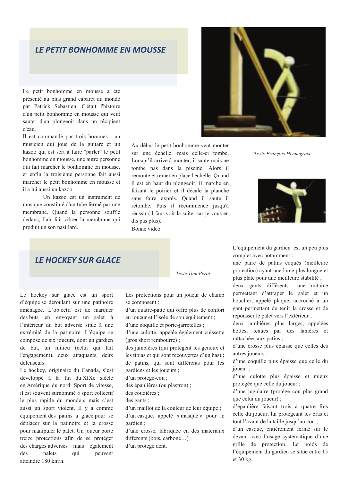### **LE PETIT BONHOMME EN MOUSSE**

Le petit bonhomme en mousse a été présenté au plus grand cabaret du monde par Patrick Sébastien. C'était l'histoire d'un petit bonhomme en mousse qui veut sauter d'un plongeoir dans un récipient d'eau.

Il est commandé par trois hommes : un musicien qui joue de la guitare et un kazoo qui est sert à faire "parler" le petit bonhomme en mousse, une autre personne qui fait marcher le bonhomme en mousse. et enfin la troisième personne fait aussi marcher le petit bonhomme en mousse et il a lui aussi un kazoo.

Un kazoo est un instrument de musique constitué d'un tube fermé par une membrane. Quand la personne souffle dedans, l'air fait vibrer la membrane qui produit un son nasillard.

Au début le petit bonhomme veut monter sur une échelle, mais celle-ci tombe. Lorsqu'il arrive à monter, il saute mais ne tombe pas dans la piscine. Alors il remonte et remet en place l'échelle. Quand il est en haut du plongeoir, il marche en faisant le poirier et il décale la planche sans faire exprès. Quand il saute il retombe. Puis il recommence jusqu'à réussir (il faut voir la suite, car je vous en dis pas plus). Bonne vidéo

Texte Francois Hennegrave



L'équipement du gardien est un peu plus complet avec notamment :

une paire de patins coqués (meilleure protection) ayant une lame plus longue et plus plate pour une meilleure stabilité;

deux gants différents : une mitaine permettant d'attraper le palet et un bouclier, appelé plaque, accroché à un gant permettant de tenir la crosse et de repousser le palet vers l'extérieur ;

deux jambières plus larges, appelées bottes, tenues par des lanières et rattachées aux patins ;

d'une crosse plus épaisse que celles des autres joueurs :

d'une coquille plus épaisse que celle du joueur :

d'une culotte plus épaisse et mieux protégée que celle du joueur ;

d'une jugulaire (protège cou plus grand que celui du joueur) ;

d'épaulière faisant trois à quatre fois celle du joueur, lui protégeant les bras et tout l'avant de la taille jusqu'au cou ;

d'un casque, entièrement fermé sur le devant avec l'usage systématique d'une grille de protection. Le poids de l'équipement du gardien se situe entre 15 et 30 kg.

# **LF HOCKEY SUR GLACE**

Le hockey sur glace est un sport d'équipe se déroulant sur une patinoire aménagée. L'objectif est de marquer des buts en envoyant un palet à l'intérieur du but adverse situé à une extrémité de la patinoire. L'équipe se compose de six joueurs, dont un gardien de but, un milieu (celui qui fait l'engagement), deux attaquants, deux défenseurs.

Le hockey, originaire du Canada, s'est développé à la fin du XIXe siècle en Amérique du nord. Sport de vitesse, il est souvent surnommé « sport collectif le plus rapide du monde » mais c'est aussi un sport violent. Il y a comme équipement des patins à glace pour se déplacer sur la patinoire et la crosse pour manipuler le palet. Un joueur porte treize protections afin de se protéger des charges adverses mais également des palets qui peuvent atteindre 180 km/h

Les protections pour un joueur de champ se composent :

Texte Tom Perot

d'un quatre-patte qui offre plus de confort au joueur et l'isole de son équipement ;

d'une coquille et porte-jarretelles;

d'une culotte, appelée également cuissette (gros short rembourré);

des jambières (qui protègent les genoux et les tibias et qui sont recouvertes d'un bas) : de patins, qui sont différents pour les gardiens et les joueurs ;

d'un protège-cou ;

des épaulières (ou plastron) ;

des coudières :

des gants ;

d'un maillot de la couleur de leur équipe ; d'un casque, appelé « masque » pour le gardien:

d'une crosse, fabriquée en des matériaux différents (bois, carbone...);

d'un protège dent.